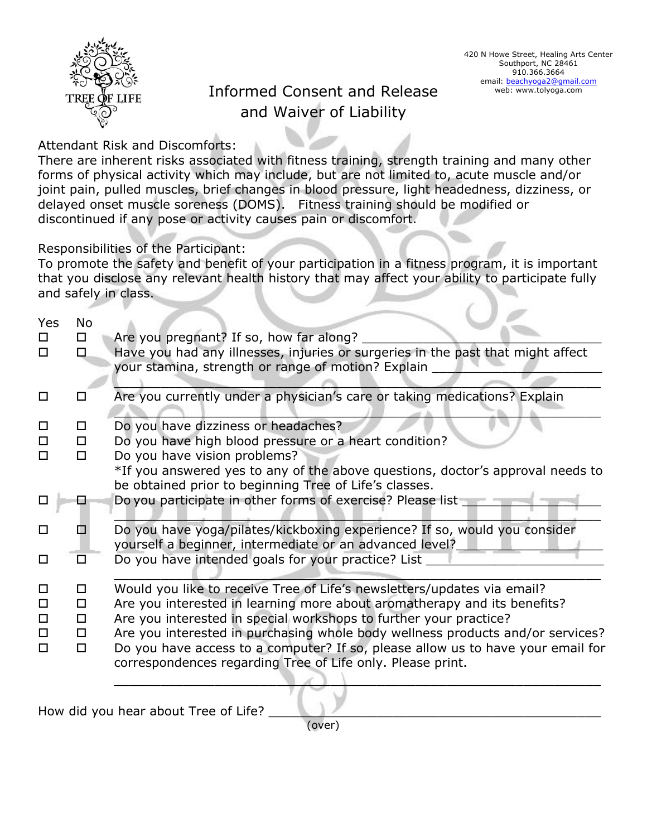

## Informed Consent and Release and Waiver of Liability

Attendant Risk and Discomforts:

There are inherent risks associated with fitness training, strength training and many other forms of physical activity which may include, but are not limited to, acute muscle and/or joint pain, pulled muscles, brief changes in blood pressure, light headedness, dizziness, or delayed onset muscle soreness (DOMS). Fitness training should be modified or discontinued if any pose or activity causes pain or discomfort.

Responsibilities of the Participant:

To promote the safety and benefit of your participation in a fitness program, it is important that you disclose any relevant health history that may affect your ability to participate fully and safely in class.

| Yes<br>0 | No<br>□ | Are you pregnant? If so, how far along?                                                                                                       |
|----------|---------|-----------------------------------------------------------------------------------------------------------------------------------------------|
| $\Box$   | $\Box$  | Have you had any illnesses, injuries or surgeries in the past that might affect<br>your stamina, strength or range of motion? Explain         |
| □        | l I     | Are you currently under a physician's care or taking medications? Explain                                                                     |
| $\Box$   | □       | Do you have dizziness or headaches?                                                                                                           |
| □        | □       | Do you have high blood pressure or a heart condition?                                                                                         |
| $\Box$   | □       | Do you have vision problems?                                                                                                                  |
|          |         | *If you answered yes to any of the above questions, doctor's approval needs to<br>be obtained prior to beginning Tree of Life's classes.      |
|          |         | Do you participate in other forms of exercise? Please list                                                                                    |
| $\Box$   |         | Do you have yoga/pilates/kickboxing experience? If so, would you consider<br>yourself a beginner, intermediate or an advanced level?          |
| □        |         | Do you have intended goals for your practice? List                                                                                            |
| $\Box$   | □       | Would you like to receive Tree of Life's newsletters/updates via email?                                                                       |
| $\Box$   | □       | Are you interested in learning more about aromatherapy and its benefits?                                                                      |
| $\Box$   | □       | Are you interested in special workshops to further your practice?                                                                             |
| $\Box$   | □       | Are you interested in purchasing whole body wellness products and/or services?                                                                |
| $\Box$   | 0.      | Do you have access to a computer? If so, please allow us to have your email for<br>correspondences regarding Tree of Life only. Please print. |
|          |         |                                                                                                                                               |

How did you hear about Tree of Life?

(over)